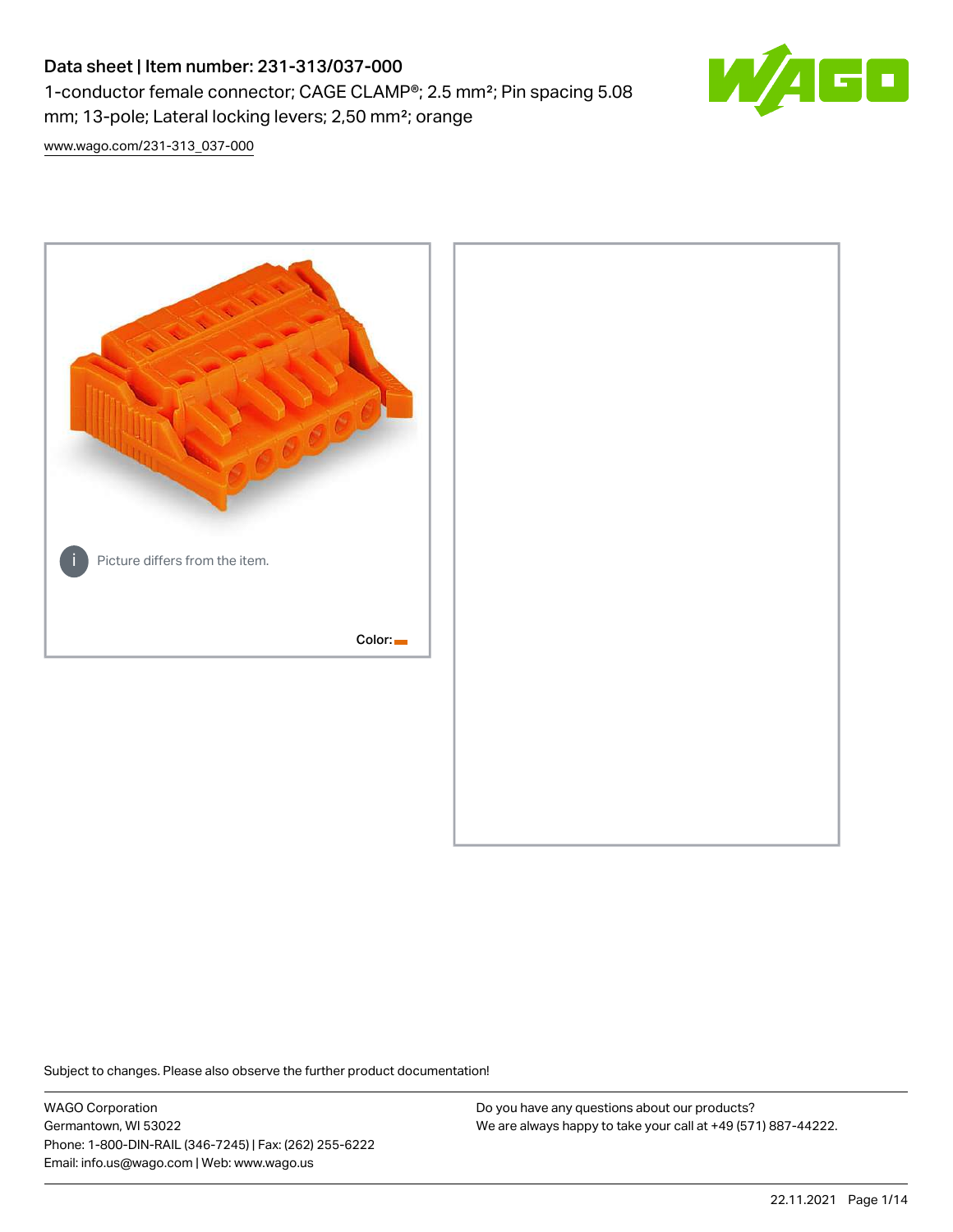# Data sheet | Item number: 231-313/037-000 1-conductor female connector; CAGE CLAMP®; 2.5 mm²; Pin spacing 5.08 mm; 13-pole; Lateral locking levers; 2,50 mm²; orange



[www.wago.com/231-313\\_037-000](http://www.wago.com/231-313_037-000)



Subject to changes. Please also observe the further product documentation!

WAGO Corporation Germantown, WI 53022 Phone: 1-800-DIN-RAIL (346-7245) | Fax: (262) 255-6222 Email: info.us@wago.com | Web: www.wago.us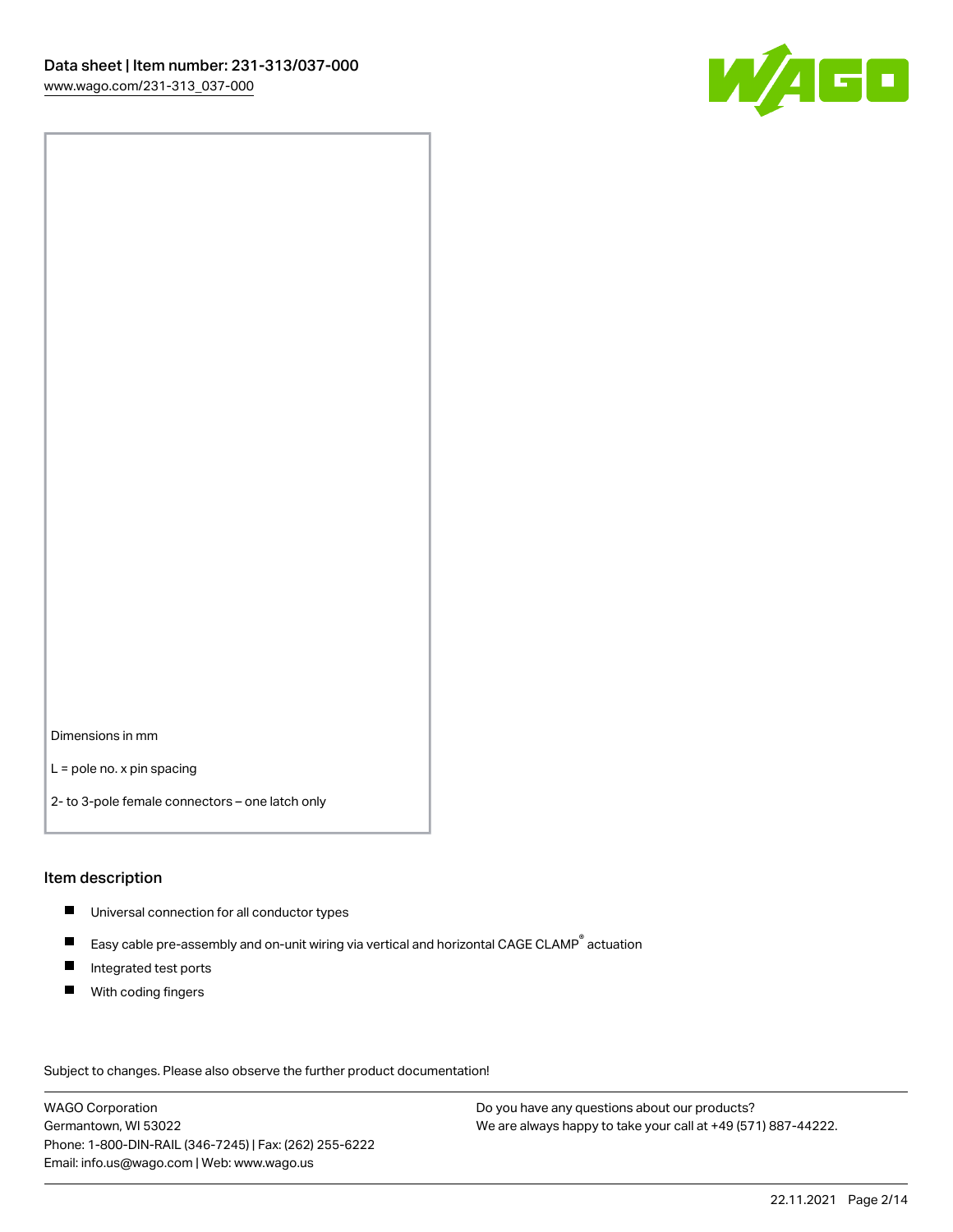

Dimensions in mm

L = pole no. x pin spacing

2- to 3-pole female connectors – one latch only

#### Item description

- **Universal connection for all conductor types**
- Easy cable pre-assembly and on-unit wiring via vertical and horizontal CAGE CLAMP<sup>®</sup> actuation  $\blacksquare$
- $\blacksquare$ Integrated test ports
- $\blacksquare$ With coding fingers

Subject to changes. Please also observe the further product documentation! Data

WAGO Corporation Germantown, WI 53022 Phone: 1-800-DIN-RAIL (346-7245) | Fax: (262) 255-6222 Email: info.us@wago.com | Web: www.wago.us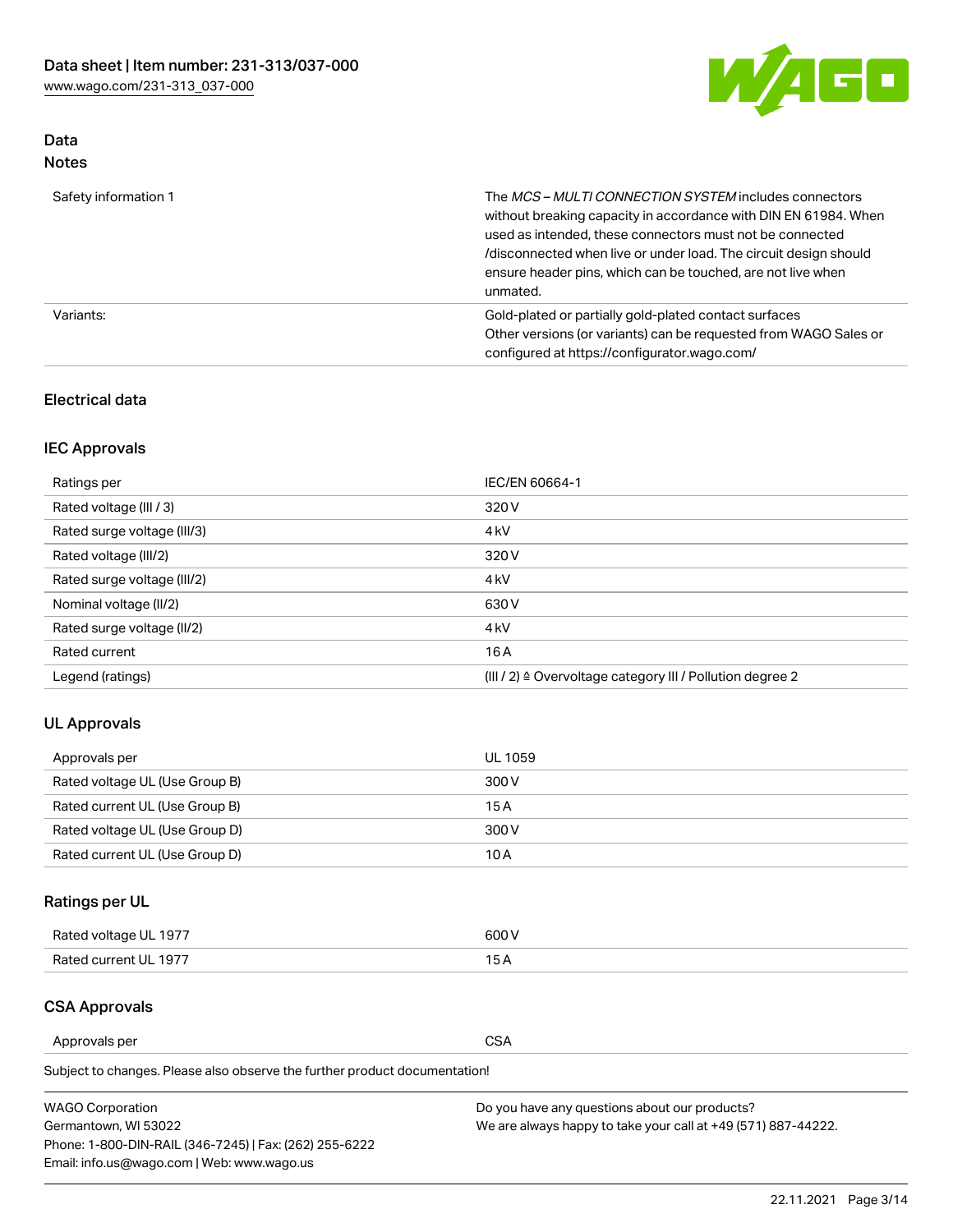

# Data Notes

| Safety information 1 | The MCS-MULTI CONNECTION SYSTEM includes connectors<br>without breaking capacity in accordance with DIN EN 61984. When<br>used as intended, these connectors must not be connected<br>/disconnected when live or under load. The circuit design should<br>ensure header pins, which can be touched, are not live when<br>unmated. |
|----------------------|-----------------------------------------------------------------------------------------------------------------------------------------------------------------------------------------------------------------------------------------------------------------------------------------------------------------------------------|
| Variants:            | Gold-plated or partially gold-plated contact surfaces<br>Other versions (or variants) can be requested from WAGO Sales or<br>configured at https://configurator.wago.com/                                                                                                                                                         |

### Electrical data

# IEC Approvals

| Ratings per                 | IEC/EN 60664-1                                                        |
|-----------------------------|-----------------------------------------------------------------------|
| Rated voltage (III / 3)     | 320 V                                                                 |
| Rated surge voltage (III/3) | 4 <sub>k</sub> V                                                      |
| Rated voltage (III/2)       | 320 V                                                                 |
| Rated surge voltage (III/2) | 4 <sub>k</sub> V                                                      |
| Nominal voltage (II/2)      | 630 V                                                                 |
| Rated surge voltage (II/2)  | 4 <sub>k</sub> V                                                      |
| Rated current               | 16 A                                                                  |
| Legend (ratings)            | $(III / 2)$ $\triangle$ Overvoltage category III / Pollution degree 2 |

### UL Approvals

| Approvals per                  | UL 1059 |
|--------------------------------|---------|
| Rated voltage UL (Use Group B) | 300 V   |
| Rated current UL (Use Group B) | 15 A    |
| Rated voltage UL (Use Group D) | 300 V   |
| Rated current UL (Use Group D) | 10 A    |

# Ratings per UL

| Rated voltage UL 1977 | 600 V         |
|-----------------------|---------------|
| Rated current UL 1977 | $\sim$ $\sim$ |

### CSA Approvals

Approvals per CSA

Subject to changes. Please also observe the further product documentation!

| <b>WAGO Corporation</b>                                | Do you have any questions about our products?                 |
|--------------------------------------------------------|---------------------------------------------------------------|
| Germantown, WI 53022                                   | We are always happy to take your call at +49 (571) 887-44222. |
| Phone: 1-800-DIN-RAIL (346-7245)   Fax: (262) 255-6222 |                                                               |
| Email: info.us@wago.com   Web: www.wago.us             |                                                               |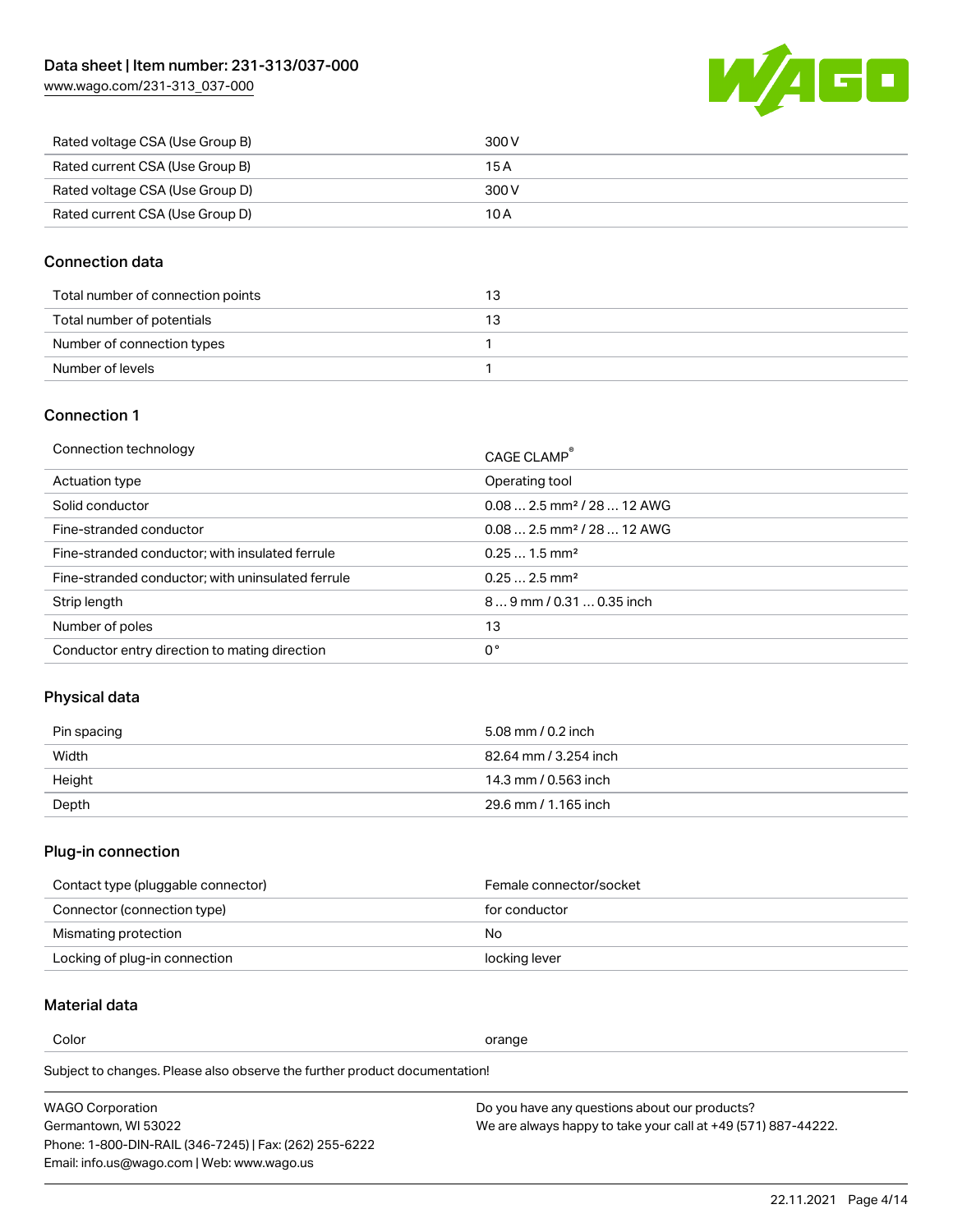[www.wago.com/231-313\\_037-000](http://www.wago.com/231-313_037-000)



| Rated voltage CSA (Use Group B) | 300 V |
|---------------------------------|-------|
| Rated current CSA (Use Group B) | 15 A  |
| Rated voltage CSA (Use Group D) | 300 V |
| Rated current CSA (Use Group D) | 10 A  |

### Connection data

| Total number of connection points |  |
|-----------------------------------|--|
| Total number of potentials        |  |
| Number of connection types        |  |
| Number of levels                  |  |

### Connection 1

| Connection technology                             | CAGE CLAMP®                             |
|---------------------------------------------------|-----------------------------------------|
| Actuation type                                    | Operating tool                          |
| Solid conductor                                   | $0.08$ 2.5 mm <sup>2</sup> / 28  12 AWG |
| Fine-stranded conductor                           | $0.082.5$ mm <sup>2</sup> / 28  12 AWG  |
| Fine-stranded conductor; with insulated ferrule   | $0.251.5$ mm <sup>2</sup>               |
| Fine-stranded conductor; with uninsulated ferrule | $0.252.5$ mm <sup>2</sup>               |
| Strip length                                      | $89$ mm / 0.31  0.35 inch               |
| Number of poles                                   | 13                                      |
| Conductor entry direction to mating direction     | 0°                                      |
|                                                   |                                         |

# Physical data

| Pin spacing | 5.08 mm / 0.2 inch    |
|-------------|-----------------------|
| Width       | 82.64 mm / 3.254 inch |
| Height      | 14.3 mm / 0.563 inch  |
| Depth       | 29.6 mm / 1.165 inch  |

### Plug-in connection

| Contact type (pluggable connector) | Female connector/socket |
|------------------------------------|-------------------------|
| Connector (connection type)        | for conductor           |
| Mismating protection               | No.                     |
| Locking of plug-in connection      | locking lever           |

### Material data

Color contracts and contracts of the contracts of the contracts of the contracts of the contracts of the contracts of the contracts of the contracts of the contracts of the contracts of the contracts of the contracts of th

Subject to changes. Please also observe the further product documentation! Material group I

| <b>WAGO Corporation</b>                                | Do you have any questions about our products?                 |
|--------------------------------------------------------|---------------------------------------------------------------|
| Germantown, WI 53022                                   | We are always happy to take your call at +49 (571) 887-44222. |
| Phone: 1-800-DIN-RAIL (346-7245)   Fax: (262) 255-6222 |                                                               |
| Email: info.us@wago.com   Web: www.wago.us             |                                                               |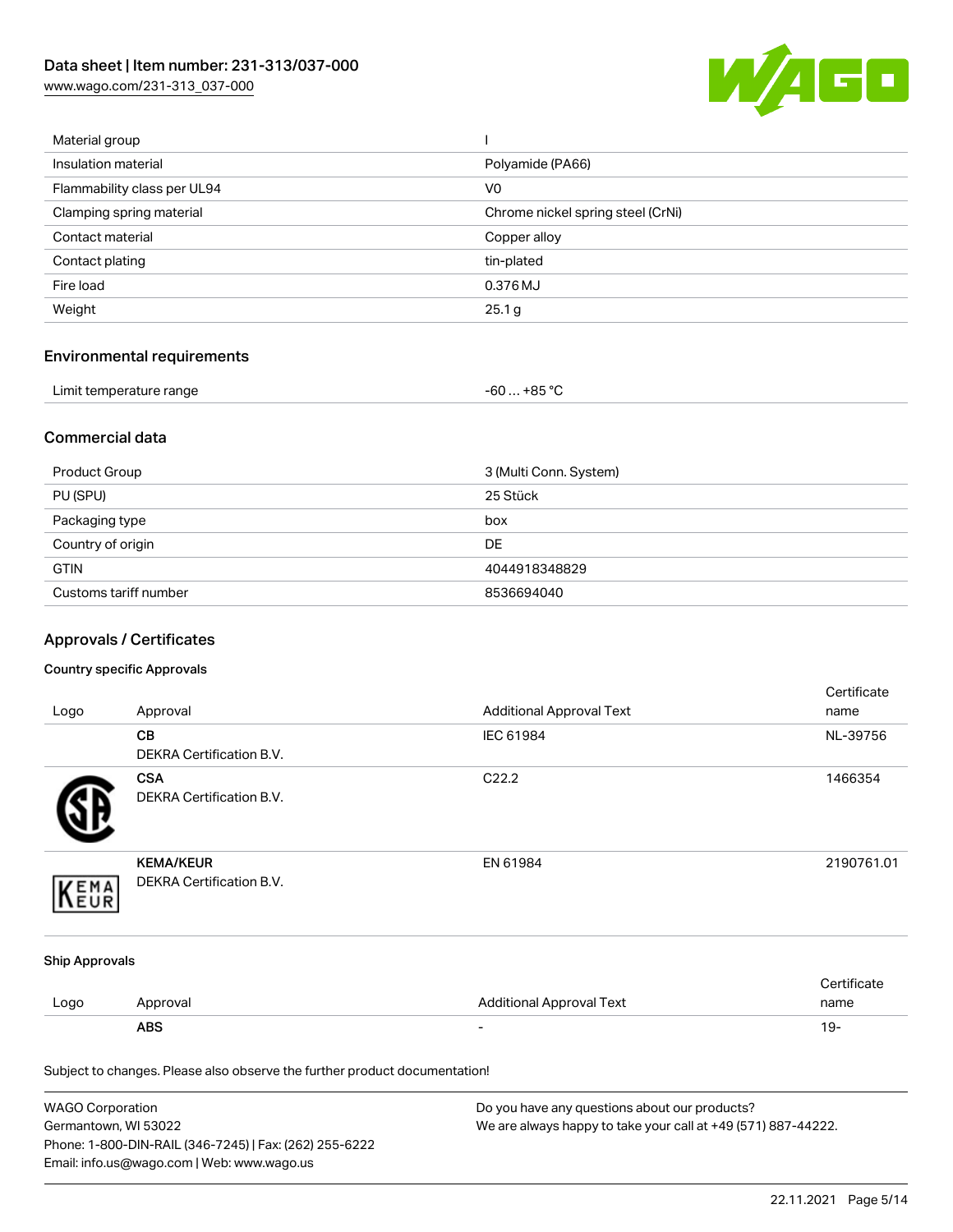[www.wago.com/231-313\\_037-000](http://www.wago.com/231-313_037-000)



| Material group              |                                   |
|-----------------------------|-----------------------------------|
| Insulation material         | Polyamide (PA66)                  |
| Flammability class per UL94 | V <sub>0</sub>                    |
| Clamping spring material    | Chrome nickel spring steel (CrNi) |
| Contact material            | Copper alloy                      |
| Contact plating             | tin-plated                        |
| Fire load                   | 0.376 MJ                          |
| Weight                      | 25.1 g                            |
|                             |                                   |

# Environmental requirements

| Limit temperature range | $-60+85 °C$ |  |
|-------------------------|-------------|--|
|-------------------------|-------------|--|

### Commercial data

| Product Group         | 3 (Multi Conn. System) |
|-----------------------|------------------------|
| PU (SPU)              | 25 Stück               |
| Packaging type        | box                    |
| Country of origin     | <b>DE</b>              |
| <b>GTIN</b>           | 4044918348829          |
| Customs tariff number | 8536694040             |

# Approvals / Certificates

#### Country specific Approvals

| Logo                  | Approval                                                                   | <b>Additional Approval Text</b> | Certificate<br>name |
|-----------------------|----------------------------------------------------------------------------|---------------------------------|---------------------|
|                       | CВ<br>DEKRA Certification B.V.                                             | IEC 61984                       | NL-39756            |
|                       | <b>CSA</b><br><b>DEKRA Certification B.V.</b>                              | C22.2                           | 1466354             |
| EMA                   | <b>KEMA/KEUR</b><br>DEKRA Certification B.V.                               | EN 61984                        | 2190761.01          |
| <b>Ship Approvals</b> |                                                                            |                                 |                     |
| Logo                  | Approval                                                                   | <b>Additional Approval Text</b> | Certificate<br>name |
|                       | <b>ABS</b>                                                                 |                                 | $19 -$              |
|                       | Subject to changes. Please also observe the further product documentation! |                                 |                     |

| <b>WAGO Corporation</b>                                | Do you have any questions about our products?                 |
|--------------------------------------------------------|---------------------------------------------------------------|
| Germantown, WI 53022                                   | We are always happy to take your call at +49 (571) 887-44222. |
| Phone: 1-800-DIN-RAIL (346-7245)   Fax: (262) 255-6222 |                                                               |
| Email: info.us@wago.com   Web: www.wago.us             |                                                               |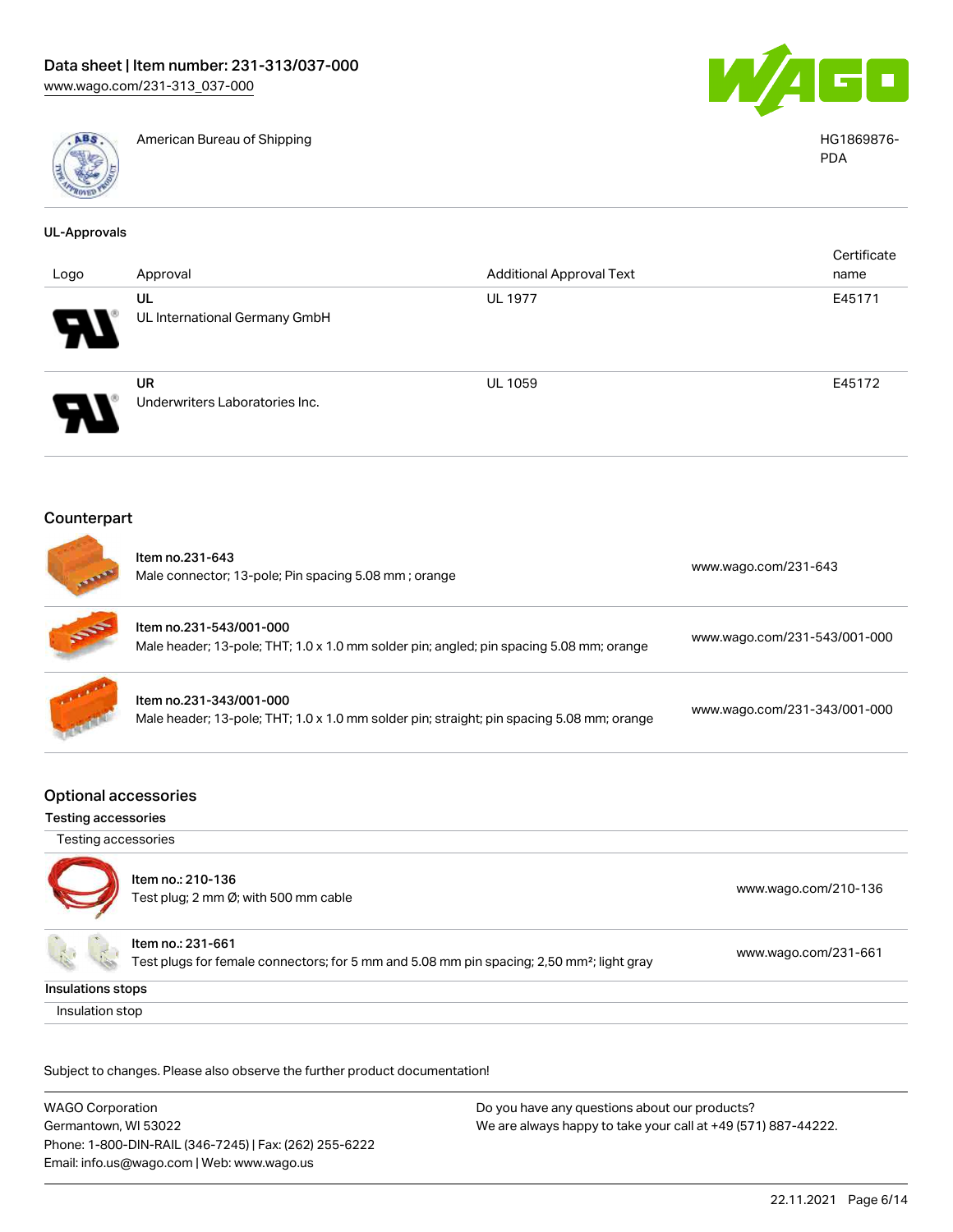

American Bureau of Shipping HG1869876-



PDA

| <b>UL-Approvals</b>        |                                                                                                                            |                                 |                              |
|----------------------------|----------------------------------------------------------------------------------------------------------------------------|---------------------------------|------------------------------|
|                            |                                                                                                                            |                                 | Certificate                  |
| Logo                       | Approval                                                                                                                   | <b>Additional Approval Text</b> | name                         |
|                            | UL<br>UL International Germany GmbH                                                                                        | <b>UL 1977</b>                  | E45171                       |
|                            | <b>UR</b><br>Underwriters Laboratories Inc.                                                                                | UL 1059                         | E45172                       |
| Counterpart                |                                                                                                                            |                                 |                              |
|                            | Item no.231-643<br>Male connector; 13-pole; Pin spacing 5.08 mm; orange                                                    |                                 | www.wago.com/231-643         |
|                            | Item no.231-543/001-000<br>Male header; 13-pole; THT; 1.0 x 1.0 mm solder pin; angled; pin spacing 5.08 mm; orange         |                                 | www.wago.com/231-543/001-000 |
|                            | Item no.231-343/001-000<br>Male header; 13-pole; THT; 1.0 x 1.0 mm solder pin; straight; pin spacing 5.08 mm; orange       |                                 | www.wago.com/231-343/001-000 |
| <b>Testing accessories</b> | <b>Optional accessories</b>                                                                                                |                                 |                              |
| Testing accessories        |                                                                                                                            |                                 |                              |
|                            | Item no.: 210-136<br>Test plug; 2 mm Ø; with 500 mm cable                                                                  |                                 | www.wago.com/210-136         |
|                            | Item no.: 231-661<br>Test plugs for female connectors; for 5 mm and 5.08 mm pin spacing; 2,50 mm <sup>2</sup> ; light gray |                                 | www.wago.com/231-661         |
| Insulations stops          |                                                                                                                            |                                 |                              |
| Insulation stop            |                                                                                                                            |                                 |                              |

Subject to changes. Please also observe the further product documentation!

WAGO Corporation Germantown, WI 53022 Phone: 1-800-DIN-RAIL (346-7245) | Fax: (262) 255-6222 Email: info.us@wago.com | Web: www.wago.us Do you have any questions about our products? We are always happy to take your call at +49 (571) 887-44222.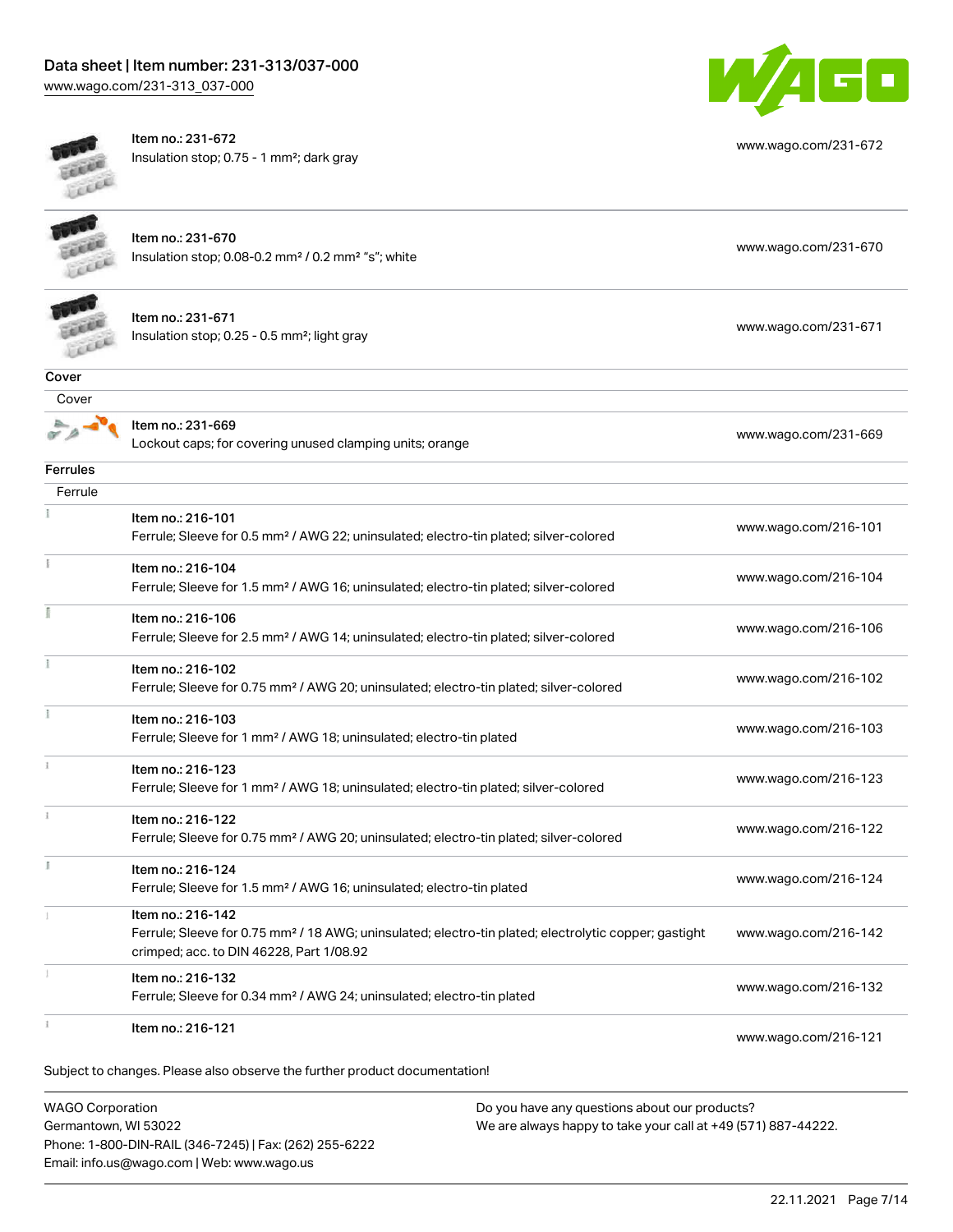[www.wago.com/231-313\\_037-000](http://www.wago.com/231-313_037-000)



**Cover** 

 $\overline{z}$ 

 $\tilde{\chi}$ 

Item no.: 231-672



[www.wago.com/231-672](http://www.wago.com/231-672) Insulation stop; 0.75 - 1 mm²; dark gray Item no.: 231-670 Insulation stop; 0.08-0.2 mm<sup>2</sup>/0.2 mm<sup>2</sup> "s"; white [www.wago.com/231-670](http://www.wago.com/231-670) www.wago.com/231-670 LEEEE Item no.: 231-671 Insulation stop; 0.25 - 0.5 mm²; light gray [www.wago.com/231-671](http://www.wago.com/231-671) www.wago.com/231-671 LEEEE Cover Item no.: 231-669 Lockout caps; for covering unused clamping units; orange [www.wago.com/231-669](http://www.wago.com/231-669) Ferrules Ferrule Item no.: 216-101 Ferrule; Sleeve for 0.5 mm² / AWG 22; uninsulated; electro-tin plated; silver-colored [www.wago.com/216-101](http://www.wago.com/216-101) Item no.: 216-104 Ferrule; Sleeve for 1.5 mm² / AWG 16; uninsulated; electro-tin plated; silver-colored [www.wago.com/216-104](http://www.wago.com/216-104) Item no.: 216-106 Ferrule; Sleeve for 2.5 mm² / AWG 14; uninsulated; electro-tin plated; silver-colored [www.wago.com/216-106](http://www.wago.com/216-106) Item no.: 216-102 Ferrule; Sleeve for 0.75 mm² / AWG 20; uninsulated; electro-tin plated; silver-colored [www.wago.com/216-102](http://www.wago.com/216-102) Item no.: 216-103 Ferrule; Sleeve for 1 mm² / AWG 18; uninsulated; electro-tin plated [www.wago.com/216-103](http://www.wago.com/216-103) Item no.: 216-123 Ferrule; Sleeve for 1 mm² / AWG 18; uninsulated; electro-tin plated; silver-colored [www.wago.com/216-123](http://www.wago.com/216-123) Item no.: 216-122 Ferrule; Sleeve for 0.75 mm² / AWG 20; uninsulated; electro-tin plated; silver-colored [www.wago.com/216-122](http://www.wago.com/216-122) Item no.: 216-124 Ferrule; Sleeve for 1.5 mm<sup>2</sup> / AWG 16; uninsulated; electro-tin plated [www.wago.com/216-124](http://www.wago.com/216-124) Item no.: 216-142 Ferrule; Sleeve for 0.75 mm² / 18 AWG; uninsulated; electro-tin plated; electrolytic copper; gastight [www.wago.com/216-142](http://www.wago.com/216-142) crimped; acc. to DIN 46228, Part 1/08.92 Item no.: 216-132 Ferrule; Sleeve for 0.34 mm² / AWG 24; uninsulated; electro-tin plated [www.wago.com/216-132](http://www.wago.com/216-132) Item no.: 216-121 [www.wago.com/216-121](http://www.wago.com/216-121)

Subject to changes. Please also observe the further product documentation!

WAGO Corporation Germantown, WI 53022 Phone: 1-800-DIN-RAIL (346-7245) | Fax: (262) 255-6222 Email: info.us@wago.com | Web: www.wago.us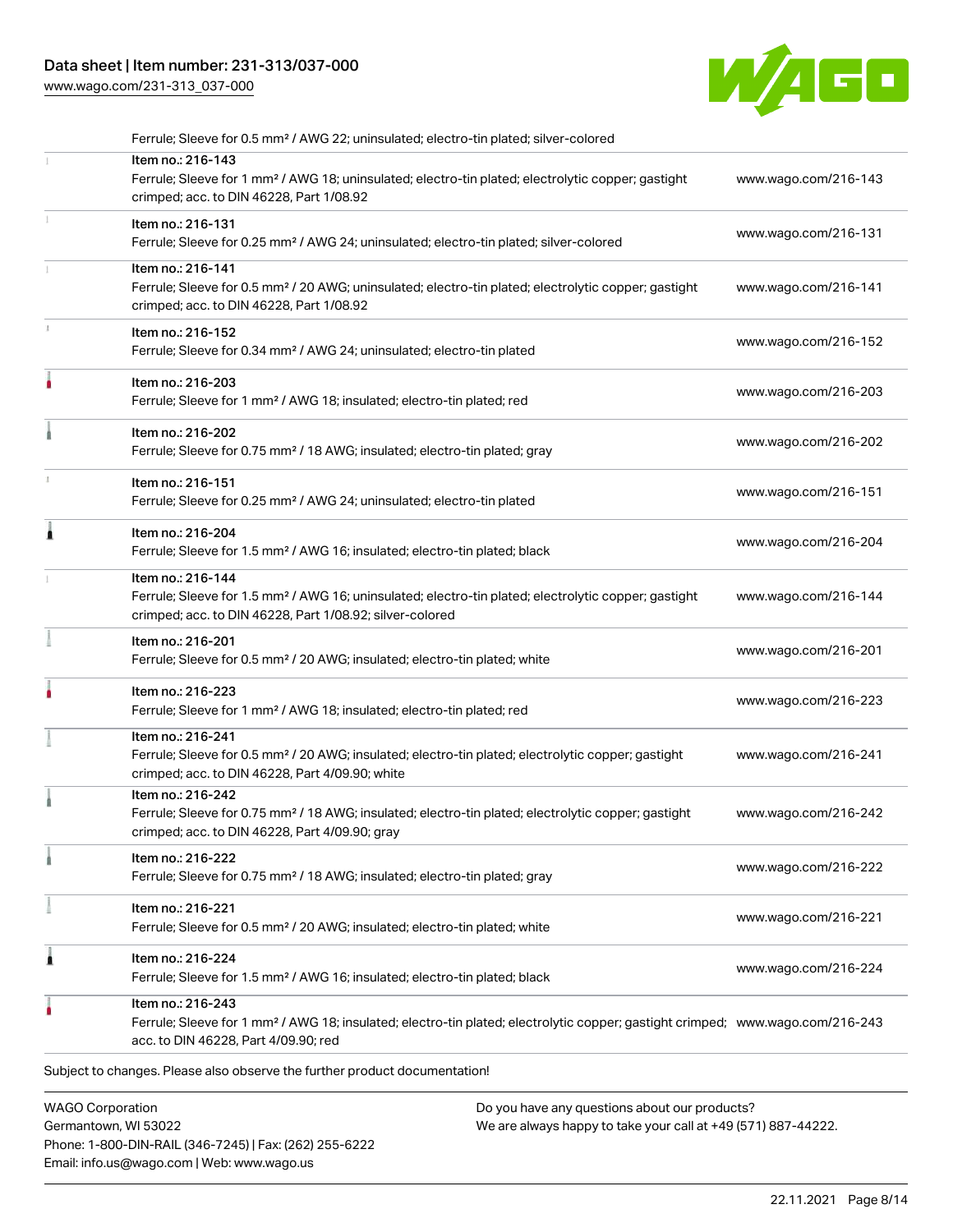[www.wago.com/231-313\\_037-000](http://www.wago.com/231-313_037-000)



| <b>WAGO Corporation</b><br>Do you have any questions about our products?                                                                                                                                |                      |
|---------------------------------------------------------------------------------------------------------------------------------------------------------------------------------------------------------|----------------------|
| Subject to changes. Please also observe the further product documentation!                                                                                                                              |                      |
| Item no.: 216-243<br>Ferrule; Sleeve for 1 mm <sup>2</sup> / AWG 18; insulated; electro-tin plated; electrolytic copper; gastight crimped; www.wago.com/216-243<br>acc. to DIN 46228, Part 4/09.90; red |                      |
| Item no.: 216-224<br>Ferrule; Sleeve for 1.5 mm <sup>2</sup> / AWG 16; insulated; electro-tin plated; black                                                                                             | www.wago.com/216-224 |
| Item no.: 216-221<br>Ferrule; Sleeve for 0.5 mm <sup>2</sup> / 20 AWG; insulated; electro-tin plated; white                                                                                             | www.wago.com/216-221 |
| Item no.: 216-222<br>Ferrule; Sleeve for 0.75 mm <sup>2</sup> / 18 AWG; insulated; electro-tin plated; gray                                                                                             | www.wago.com/216-222 |
| Item no.: 216-242<br>Ferrule; Sleeve for 0.75 mm <sup>2</sup> / 18 AWG; insulated; electro-tin plated; electrolytic copper; gastight<br>crimped; acc. to DIN 46228, Part 4/09.90; gray                  | www.wago.com/216-242 |
| Item no.: 216-241<br>Ferrule; Sleeve for 0.5 mm <sup>2</sup> / 20 AWG; insulated; electro-tin plated; electrolytic copper; gastight<br>crimped; acc. to DIN 46228, Part 4/09.90; white                  | www.wago.com/216-241 |
| Item no.: 216-223<br>Ferrule; Sleeve for 1 mm <sup>2</sup> / AWG 18; insulated; electro-tin plated; red                                                                                                 | www.wago.com/216-223 |
| Item no.: 216-201<br>Ferrule; Sleeve for 0.5 mm <sup>2</sup> / 20 AWG; insulated; electro-tin plated; white                                                                                             | www.wago.com/216-201 |
| Item no.: 216-144<br>Ferrule; Sleeve for 1.5 mm <sup>2</sup> / AWG 16; uninsulated; electro-tin plated; electrolytic copper; gastight<br>crimped; acc. to DIN 46228, Part 1/08.92; silver-colored       | www.wago.com/216-144 |
| Item no.: 216-204<br>Ferrule; Sleeve for 1.5 mm <sup>2</sup> / AWG 16; insulated; electro-tin plated; black                                                                                             | www.wago.com/216-204 |
| Item no.: 216-151<br>Ferrule; Sleeve for 0.25 mm <sup>2</sup> / AWG 24; uninsulated; electro-tin plated                                                                                                 | www.wago.com/216-151 |
| Item no.: 216-202<br>Ferrule; Sleeve for 0.75 mm <sup>2</sup> / 18 AWG; insulated; electro-tin plated; gray                                                                                             | www.wago.com/216-202 |
| Item no.: 216-203<br>Ferrule; Sleeve for 1 mm <sup>2</sup> / AWG 18; insulated; electro-tin plated; red                                                                                                 | www.wago.com/216-203 |
| Item no.: 216-152<br>Ferrule; Sleeve for 0.34 mm <sup>2</sup> / AWG 24; uninsulated; electro-tin plated                                                                                                 | www.wago.com/216-152 |
| Item no.: 216-141<br>Ferrule; Sleeve for 0.5 mm <sup>2</sup> / 20 AWG; uninsulated; electro-tin plated; electrolytic copper; gastight<br>crimped; acc. to DIN 46228, Part 1/08.92                       | www.wago.com/216-141 |
| Item no.: 216-131<br>Ferrule; Sleeve for 0.25 mm <sup>2</sup> / AWG 24; uninsulated; electro-tin plated; silver-colored                                                                                 | www.wago.com/216-131 |
| Item no.: 216-143<br>Ferrule; Sleeve for 1 mm <sup>2</sup> / AWG 18; uninsulated; electro-tin plated; electrolytic copper; gastight<br>crimped; acc. to DIN 46228, Part 1/08.92                         | www.wago.com/216-143 |
|                                                                                                                                                                                                         |                      |

Germantown, WI 53022 Phone: 1-800-DIN-RAIL (346-7245) | Fax: (262) 255-6222 Email: info.us@wago.com | Web: www.wago.us

We are always happy to take your call at +49 (571) 887-44222.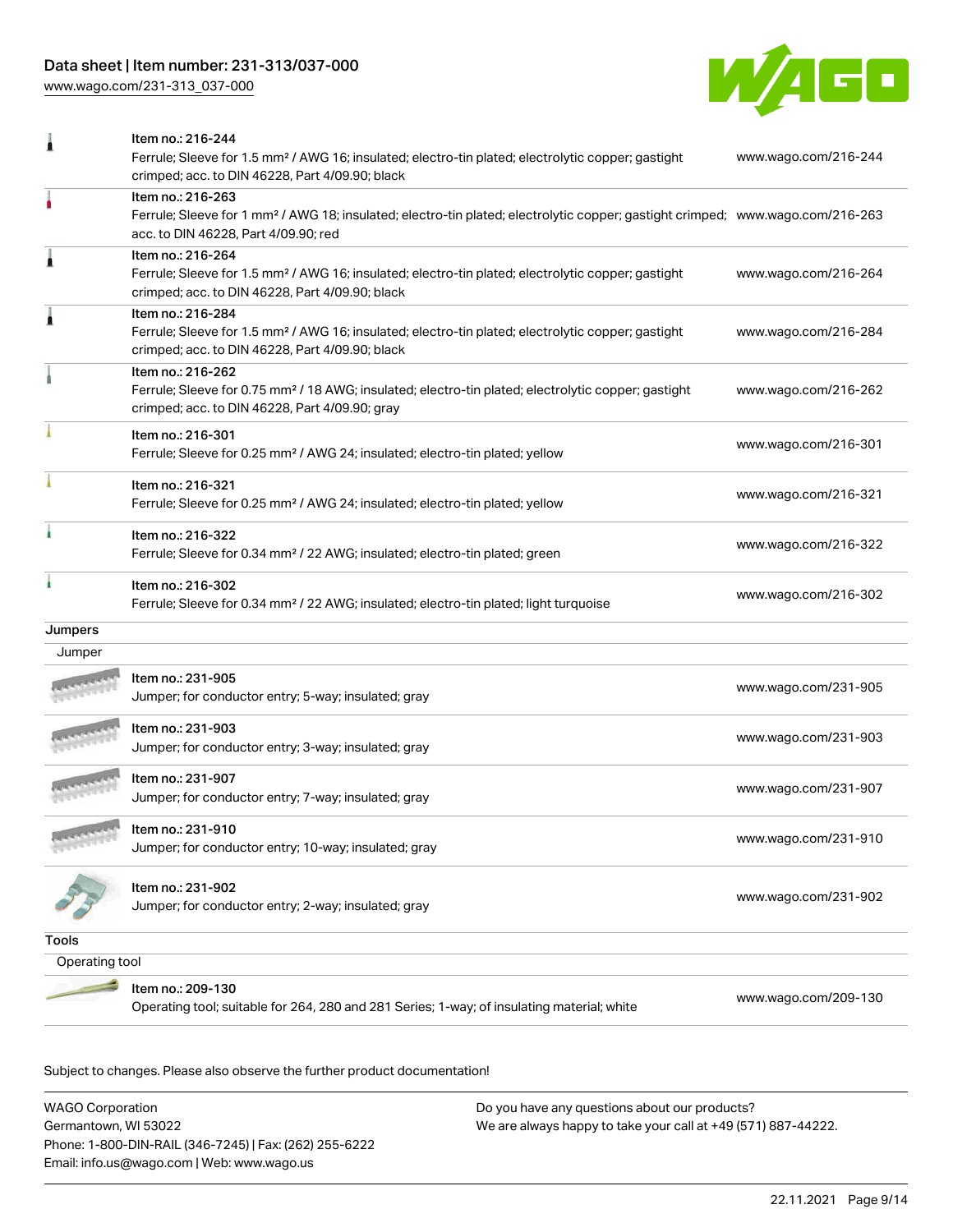[www.wago.com/231-313\\_037-000](http://www.wago.com/231-313_037-000)



|                | Item no.: 216-244<br>Ferrule; Sleeve for 1.5 mm <sup>2</sup> / AWG 16; insulated; electro-tin plated; electrolytic copper; gastight                                                                     | www.wago.com/216-244 |
|----------------|---------------------------------------------------------------------------------------------------------------------------------------------------------------------------------------------------------|----------------------|
|                | crimped; acc. to DIN 46228, Part 4/09.90; black                                                                                                                                                         |                      |
|                | Item no.: 216-263<br>Ferrule; Sleeve for 1 mm <sup>2</sup> / AWG 18; insulated; electro-tin plated; electrolytic copper; gastight crimped; www.wago.com/216-263<br>acc. to DIN 46228, Part 4/09.90; red |                      |
| 1              | Item no.: 216-264<br>Ferrule; Sleeve for 1.5 mm <sup>2</sup> / AWG 16; insulated; electro-tin plated; electrolytic copper; gastight<br>crimped; acc. to DIN 46228, Part 4/09.90; black                  | www.wago.com/216-264 |
| 1              | Item no.: 216-284<br>Ferrule; Sleeve for 1.5 mm <sup>2</sup> / AWG 16; insulated; electro-tin plated; electrolytic copper; gastight<br>crimped; acc. to DIN 46228, Part 4/09.90; black                  | www.wago.com/216-284 |
|                | Item no.: 216-262<br>Ferrule; Sleeve for 0.75 mm <sup>2</sup> / 18 AWG; insulated; electro-tin plated; electrolytic copper; gastight<br>crimped; acc. to DIN 46228, Part 4/09.90; gray                  | www.wago.com/216-262 |
|                | Item no.: 216-301<br>Ferrule; Sleeve for 0.25 mm <sup>2</sup> / AWG 24; insulated; electro-tin plated; yellow                                                                                           | www.wago.com/216-301 |
|                | Item no.: 216-321<br>Ferrule; Sleeve for 0.25 mm <sup>2</sup> / AWG 24; insulated; electro-tin plated; yellow                                                                                           | www.wago.com/216-321 |
|                | Item no.: 216-322<br>Ferrule; Sleeve for 0.34 mm <sup>2</sup> / 22 AWG; insulated; electro-tin plated; green                                                                                            | www.wago.com/216-322 |
|                | Item no.: 216-302<br>Ferrule; Sleeve for 0.34 mm <sup>2</sup> / 22 AWG; insulated; electro-tin plated; light turquoise                                                                                  | www.wago.com/216-302 |
| Jumpers        |                                                                                                                                                                                                         |                      |
| Jumper         |                                                                                                                                                                                                         |                      |
|                | Item no.: 231-905<br>Jumper; for conductor entry; 5-way; insulated; gray                                                                                                                                | www.wago.com/231-905 |
|                | Item no.: 231-903<br>Jumper; for conductor entry; 3-way; insulated; gray                                                                                                                                | www.wago.com/231-903 |
|                | Item no.: 231-907<br>Jumper; for conductor entry; 7-way; insulated; gray                                                                                                                                | www.wago.com/231-907 |
|                | Item no.: 231-910<br>Jumper; for conductor entry; 10-way; insulated; gray                                                                                                                               | www.wago.com/231-910 |
|                | ltem no.: 231-902<br>Jumper; for conductor entry; 2-way; insulated; gray                                                                                                                                | www.wago.com/231-902 |
| <b>Tools</b>   |                                                                                                                                                                                                         |                      |
| Operating tool |                                                                                                                                                                                                         |                      |
|                | Item no.: 209-130<br>Operating tool; suitable for 264, 280 and 281 Series; 1-way; of insulating material; white                                                                                         | www.wago.com/209-130 |
|                |                                                                                                                                                                                                         |                      |

Subject to changes. Please also observe the further product documentation!

WAGO Corporation Germantown, WI 53022 Phone: 1-800-DIN-RAIL (346-7245) | Fax: (262) 255-6222 Email: info.us@wago.com | Web: www.wago.us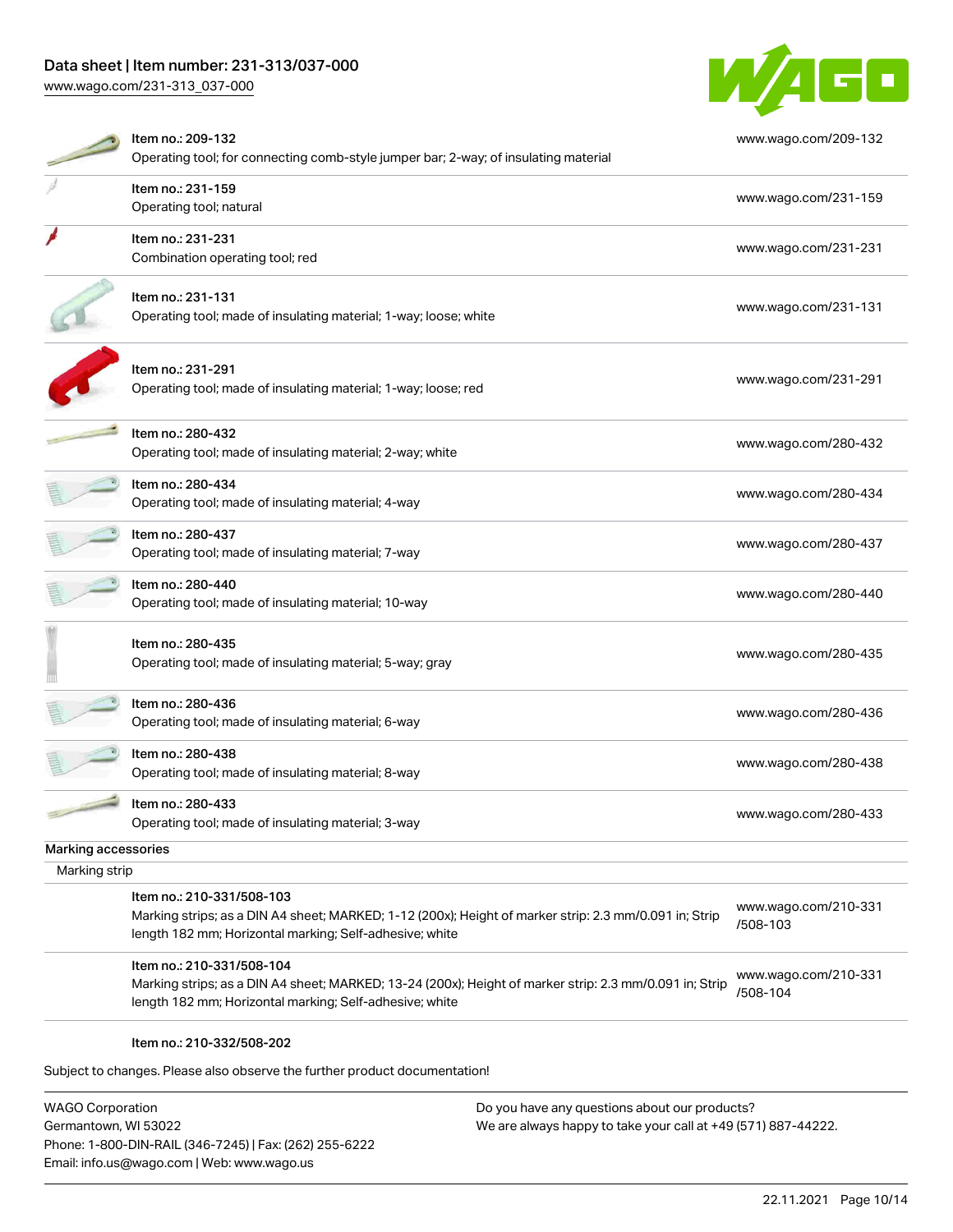[www.wago.com/231-313\\_037-000](http://www.wago.com/231-313_037-000)



|                     | Item no.: 209-132                                                                                                                                                  | www.wago.com/209-132             |
|---------------------|--------------------------------------------------------------------------------------------------------------------------------------------------------------------|----------------------------------|
|                     | Operating tool; for connecting comb-style jumper bar; 2-way; of insulating material                                                                                |                                  |
|                     | Item no.: 231-159                                                                                                                                                  | www.wago.com/231-159             |
|                     | Operating tool; natural                                                                                                                                            |                                  |
|                     | Item no.: 231-231                                                                                                                                                  | www.wago.com/231-231             |
|                     | Combination operating tool; red                                                                                                                                    |                                  |
|                     | Item no.: 231-131                                                                                                                                                  |                                  |
|                     | Operating tool; made of insulating material; 1-way; loose; white                                                                                                   | www.wago.com/231-131             |
|                     | Item no.: 231-291                                                                                                                                                  | www.wago.com/231-291             |
|                     | Operating tool; made of insulating material; 1-way; loose; red                                                                                                     |                                  |
|                     | Item no.: 280-432                                                                                                                                                  | www.wago.com/280-432             |
|                     | Operating tool; made of insulating material; 2-way; white                                                                                                          |                                  |
|                     | Item no.: 280-434                                                                                                                                                  | www.wago.com/280-434             |
|                     | Operating tool; made of insulating material; 4-way                                                                                                                 |                                  |
|                     | Item no.: 280-437                                                                                                                                                  | www.wago.com/280-437             |
|                     | Operating tool; made of insulating material; 7-way                                                                                                                 |                                  |
|                     | Item no.: 280-440                                                                                                                                                  | www.wago.com/280-440             |
|                     | Operating tool; made of insulating material; 10-way                                                                                                                |                                  |
|                     | Item no.: 280-435                                                                                                                                                  |                                  |
|                     | Operating tool; made of insulating material; 5-way; gray                                                                                                           | www.wago.com/280-435             |
|                     | Item no.: 280-436                                                                                                                                                  |                                  |
|                     | Operating tool; made of insulating material; 6-way                                                                                                                 | www.wago.com/280-436             |
|                     | Item no.: 280-438                                                                                                                                                  |                                  |
|                     | Operating tool; made of insulating material; 8-way                                                                                                                 | www.wago.com/280-438             |
|                     | Item no.: 280-433                                                                                                                                                  |                                  |
|                     | Operating tool; made of insulating material; 3-way                                                                                                                 | www.wago.com/280-433             |
| Marking accessories |                                                                                                                                                                    |                                  |
| Marking strip       |                                                                                                                                                                    |                                  |
|                     | Item no.: 210-331/508-103                                                                                                                                          |                                  |
|                     | Marking strips; as a DIN A4 sheet; MARKED; 1-12 (200x); Height of marker strip: 2.3 mm/0.091 in; Strip                                                             | www.wago.com/210-331<br>/508-103 |
|                     | length 182 mm; Horizontal marking; Self-adhesive; white                                                                                                            |                                  |
|                     | Item no.: 210-331/508-104                                                                                                                                          |                                  |
|                     | Marking strips; as a DIN A4 sheet; MARKED; 13-24 (200x); Height of marker strip: 2.3 mm/0.091 in; Strip<br>length 182 mm; Horizontal marking; Self-adhesive; white | www.wago.com/210-331<br>/508-104 |
|                     | Item no.: 210-332/508-202                                                                                                                                          |                                  |
|                     | Subject to changes. Please also observe the further product documentation!                                                                                         |                                  |
|                     |                                                                                                                                                                    |                                  |

WAGO Corporation Germantown, WI 53022 Phone: 1-800-DIN-RAIL (346-7245) | Fax: (262) 255-6222 Email: info.us@wago.com | Web: www.wago.us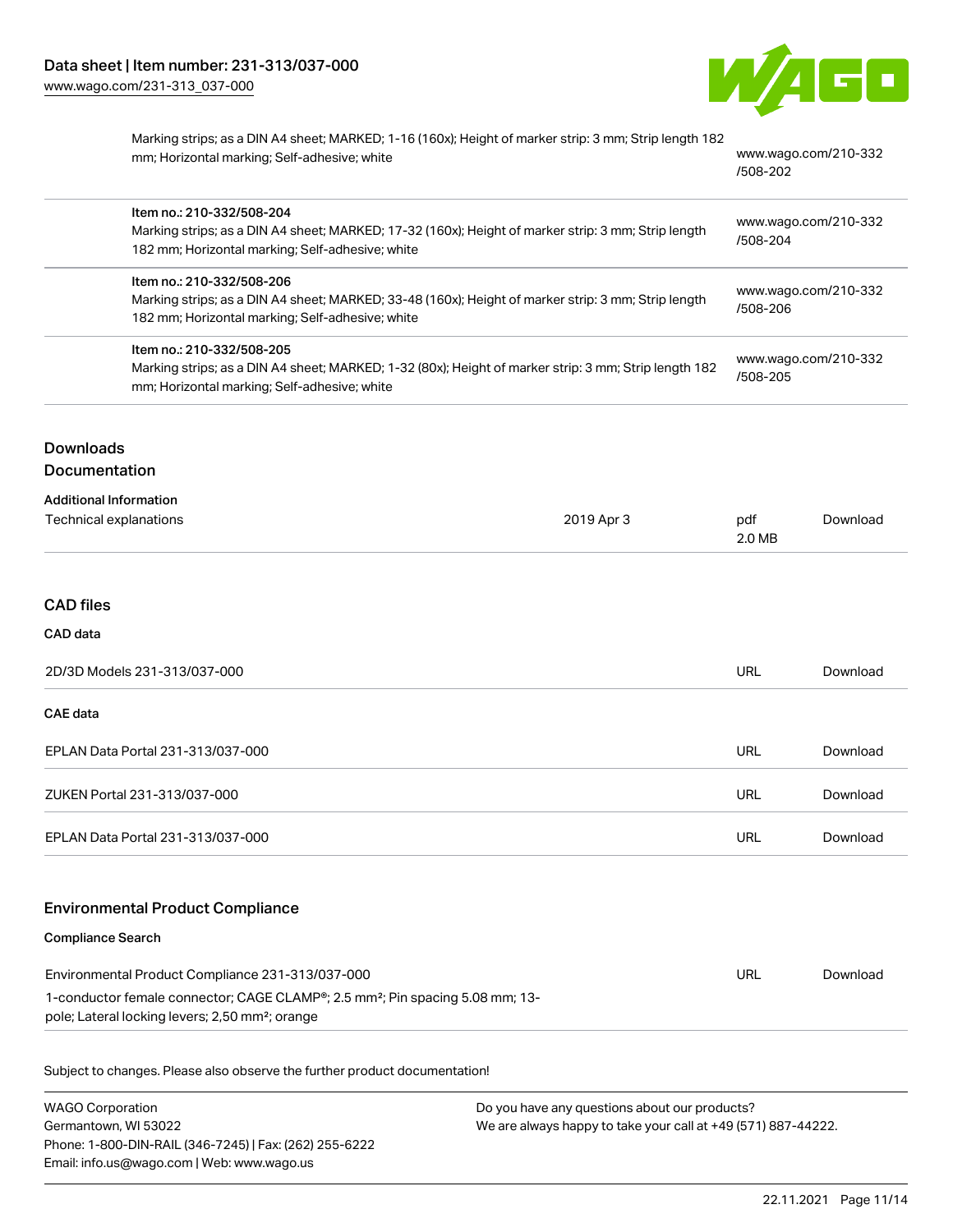

| Marking strips; as a DIN A4 sheet; MARKED; 1-16 (160x); Height of marker strip: 3 mm; Strip length 182 |       |
|--------------------------------------------------------------------------------------------------------|-------|
| mm; Horizontal marking; Self-adhesive; white                                                           | WWW.W |
|                                                                                                        |       |

wago.com/210-332 [/508-202](http://www.wago.com/210-332/508-202)

| Item no.: 210-332/508-204<br>Marking strips; as a DIN A4 sheet; MARKED; 17-32 (160x); Height of marker strip: 3 mm; Strip length<br>182 mm; Horizontal marking; Self-adhesive; white | www.wago.com/210-332<br>/508-204 |
|--------------------------------------------------------------------------------------------------------------------------------------------------------------------------------------|----------------------------------|
| Item no.: 210-332/508-206<br>Marking strips; as a DIN A4 sheet; MARKED; 33-48 (160x); Height of marker strip: 3 mm; Strip length<br>182 mm; Horizontal marking; Self-adhesive; white | www.wago.com/210-332<br>/508-206 |
| Item no.: 210-332/508-205<br>Marking strips; as a DIN A4 sheet; MARKED; 1-32 (80x); Height of marker strip: 3 mm; Strip length 182<br>mm; Horizontal marking; Self-adhesive; white   | www.wago.com/210-332<br>/508-205 |
|                                                                                                                                                                                      |                                  |

# **Downloads** Documentation

| <b>Additional Information</b> |            |               |          |
|-------------------------------|------------|---------------|----------|
| Technical explanations        | 2019 Apr 3 | pdf<br>2.0 MB | Download |
|                               |            |               |          |

### CAD files

CAD data

| 2D/3D Models 231-313/037-000      | URL | Download |
|-----------------------------------|-----|----------|
| CAE data                          |     |          |
| EPLAN Data Portal 231-313/037-000 | URL | Download |
| ZUKEN Portal 231-313/037-000      | URL | Download |
| EPLAN Data Portal 231-313/037-000 | URL | Download |
|                                   |     |          |

# Environmental Product Compliance

Compliance Search

| Environmental Product Compliance 231-313/037-000                                                                                                                      | URL | Download |
|-----------------------------------------------------------------------------------------------------------------------------------------------------------------------|-----|----------|
| 1-conductor female connector; CAGE CLAMP <sup>®</sup> ; 2.5 mm <sup>2</sup> ; Pin spacing 5.08 mm; 13-<br>pole; Lateral locking levers; 2,50 mm <sup>2</sup> ; orange |     |          |

Subject to changes. Please also observe the further product documentation!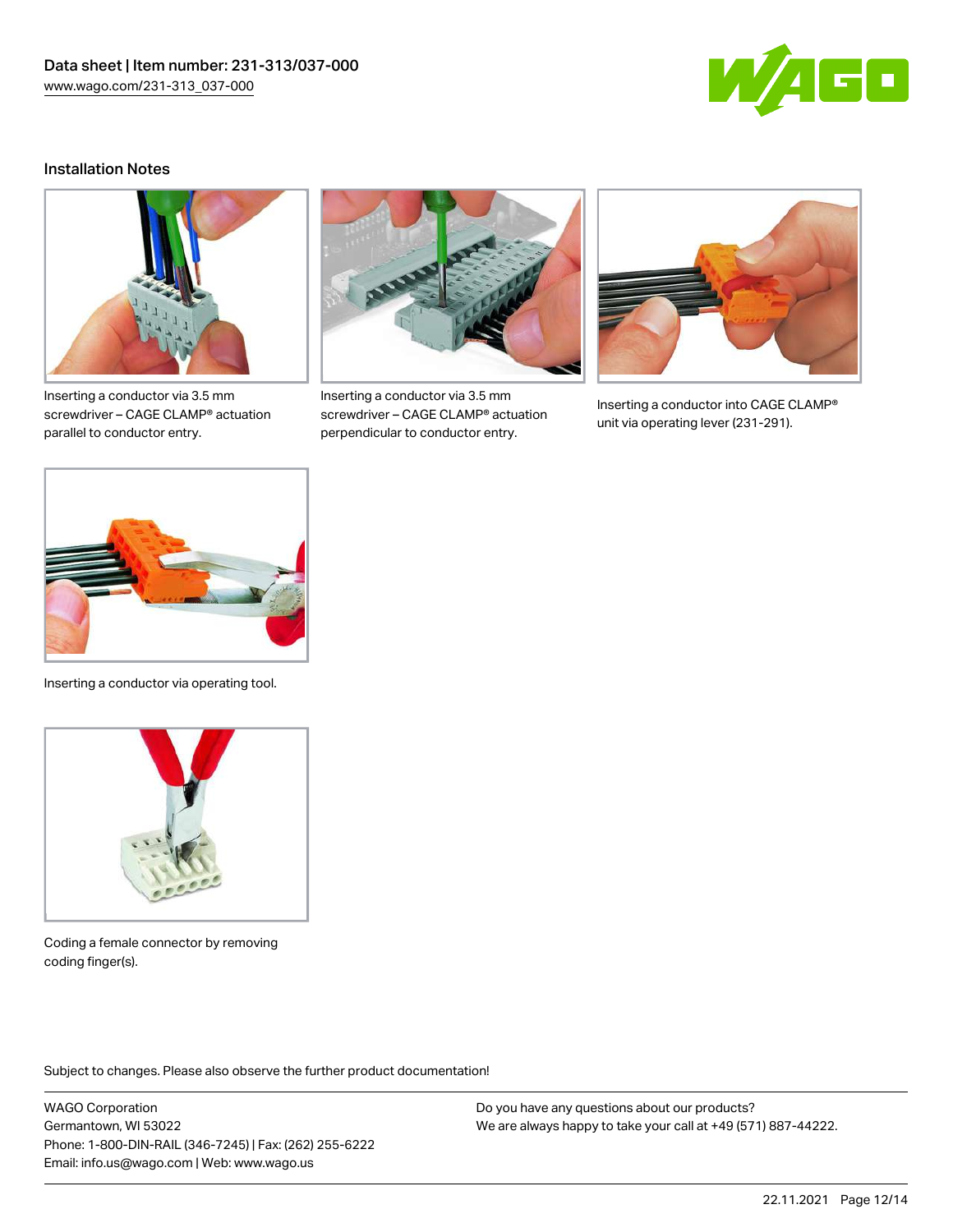

#### Installation Notes



Inserting a conductor via 3.5 mm screwdriver – CAGE CLAMP® actuation parallel to conductor entry.



Inserting a conductor via 3.5 mm screwdriver – CAGE CLAMP® actuation perpendicular to conductor entry.



Inserting a conductor into CAGE CLAMP® unit via operating lever (231-291).



Inserting a conductor via operating tool.



Coding a female connector by removing coding finger(s).

Subject to changes. Please also observe the further product documentation!

WAGO Corporation Germantown, WI 53022 Phone: 1-800-DIN-RAIL (346-7245) | Fax: (262) 255-6222 Email: info.us@wago.com | Web: www.wago.us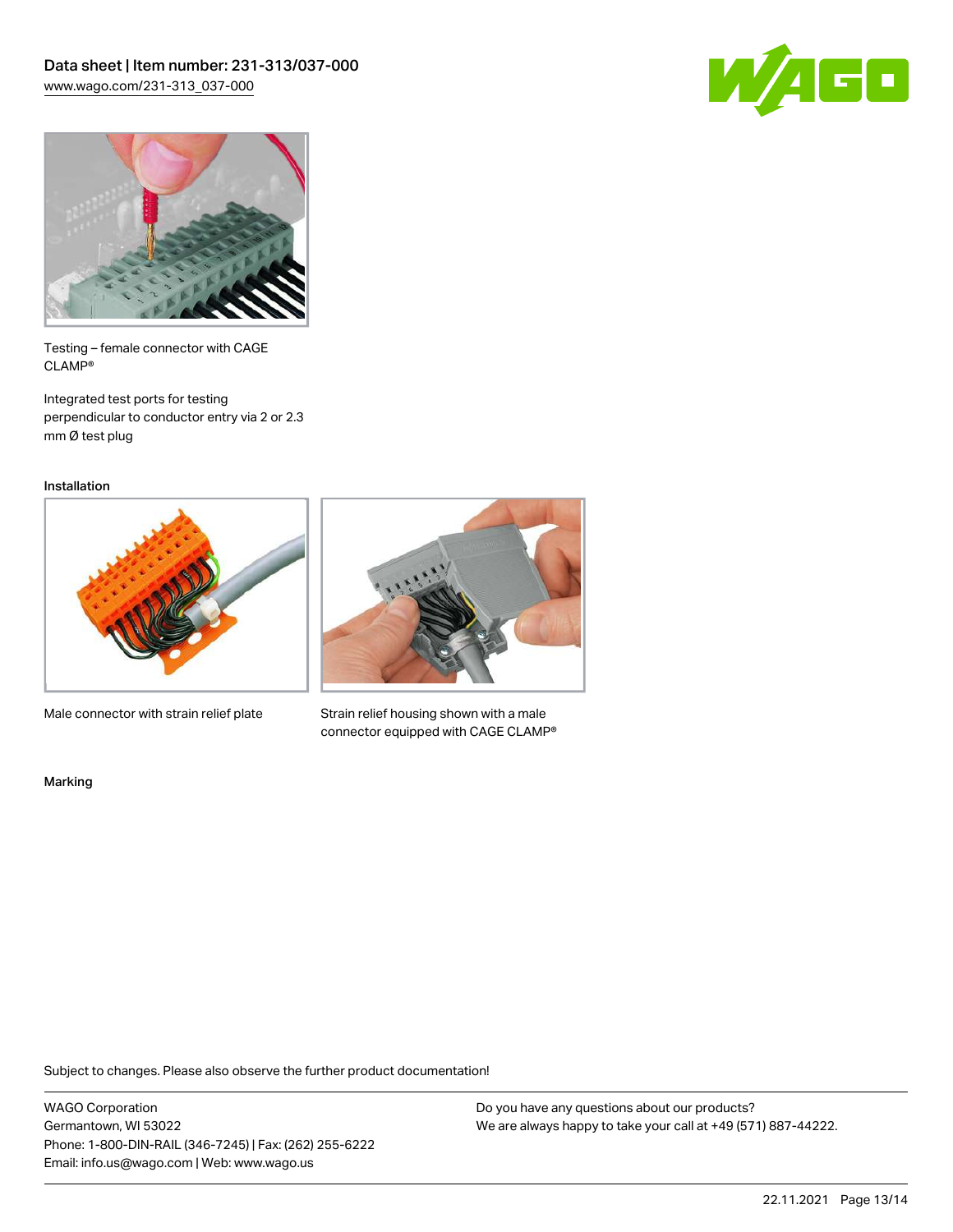



Testing – female connector with CAGE CLAMP®

Integrated test ports for testing perpendicular to conductor entry via 2 or 2.3 mm Ø test plug

Installation



Male connector with strain relief plate



Strain relief housing shown with a male connector equipped with CAGE CLAMP®

Marking

Subject to changes. Please also observe the further product documentation!

WAGO Corporation Germantown, WI 53022 Phone: 1-800-DIN-RAIL (346-7245) | Fax: (262) 255-6222 Email: info.us@wago.com | Web: www.wago.us